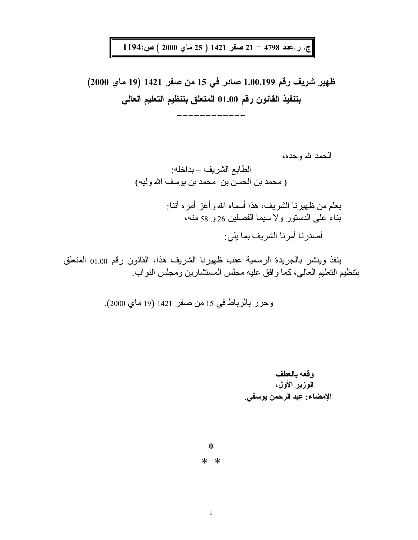ج. ر.عدد 4798 - 21 صفر 1421 ( 25 ماي 2000 ) ص:1194

ظهير شريف رقم 1.00.199 صادر في 15 من صفر 1421 (19 ماي 2000) بتنفيذ القانون رقم 01.00 المتعلق بتنظيم التعليم العالي

الحمد لله و حده،

الطابع الشريف \_بداخله: (محمد بن الحسن بن محمد بن يوسف الله وليه) يعلم من ظهيرنـا الشريف، هذا أسمـاه الله وأعز أمر ه أننـا: بناء على الدستور ولا سيما الفصلين 26 و 58 منه، أصدر نا أمر نا الشر بف بما يلي:

ينفذ وينشر بالجريدة الرسمية عقب ظهيرنا الشريف هذا، القانون رقم 01.00 المتعلق بتنظيم التعليم العالى، كما و افق عليه مجلس المستشارين ومجلس النواب.

وقعه بالعطف الوزير الأول، الإمضاء: عبد الرحمن يوسفي.

 $\ast$ 

 $* *$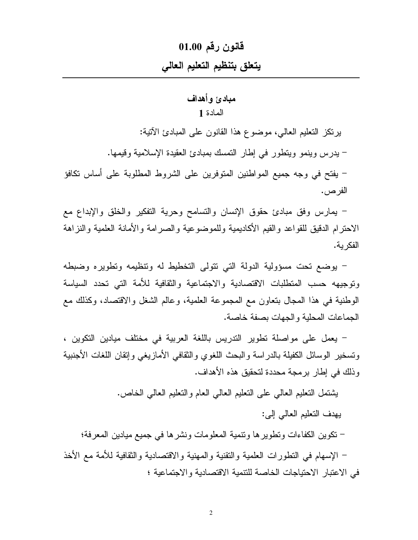# قانون رقم 01.00

# يتعلق بتنظيم التعليم العالى

# مبادئ وأهداف

# المادة 1

برنكز النعليم العالبي، موضوع هذا القانون على المبادئ الآنية: – يدرس وينمو ويتطور في إطار التمسك بمبادئ العقيدة الإسلامية وقيمها. – يفتح في وجه جميع المواطنين المتوفرين على الشروط المطلوبة على أساس نكافؤ الفر ص .

– بمارس وفق مبادئ حقوق الإنسان والتسامح وحرية التفكير والخلق والإبداع مع الاحترام الدقيق للقواعد والقيم الأكاديمية وللموضوعية والصرامة والأمانة العلمية والنزاهة الفكر ية.

– يوضع تحت مسؤولية الدولة التي تتولى التخطيط له وتتظيمه وتطويره وضبطه ونوجيهه حسب المتطلبات الاقتصادية والاجتماعية والثقافية للأمة التبي تحدد السياسة الوطنية في هذا المجال بنعاون مع المجموعة العلمية، وعالم الشغل والاقتصاد، وكذلك مع الجماعات المحلية والجهات بصفة خاصة.

– يعمل على مواصلة نطوير الندريس باللغة العربية في مختلف ميادين النكوين ، ونسخير الوسائل الكفيلة بالدراسة والبحث اللغوي والثقافي الأمازيغي وإنقان اللغات الأجنبية وذلك في إطار برمجة محددة لتحقيق هذه الأهداف.

يشتمل التعليم العالمي على التعليم العالمي العام والتعليم العالمي الخاص.

ببهدف التعليم العالمي إلى:

– نكوين الكفاءات ونطوير ها ونتمية المعلومات ونشرها في جميع ميادين المعرفة؛

– الإسهام في النطورات العلمية والنقنية والمهنية والاقتصادية والثقافية للأمة مع الأخذ في الاعتبار الاحتياجات الخاصة للتتمية الاقتصادية والاجتماعية ؛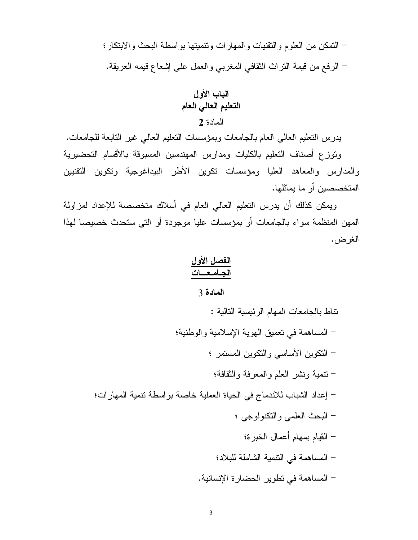– التمكن من العلوم والتقنيات والمهارات ونتميتها بواسطة البحث والابتكار؛ – الرفع من قيمة النراث النقافي المغربي والعمل على إشعاع قيمه العريقة.

الباب الأول التعليم العالي العام المادة 2

يدرس النعليم العالمي العام بالجامعات وبمؤسسات النعليم العالمي غير النابعة للجامعات. ونوزع أصناف التعليم بالكليات ومدارس المهندسين المسبوقة بالأقسام التحضيرية والمدارس والمعاهد العليا ومؤسسات نكوين الأطر البيداغوجية ونكوين النقنيين المتخصصين أو ما يماثلها.

ويمكن كذلك أن يدرس النعليم العالمي العام في أسلاك متخصصة للإعداد لمزاولة المهن المنظمة سواء بالجامعات أو بمؤسسات عليا موجودة أو التبي ستحدث خصيصا لهذا الغرض.

## المادة 3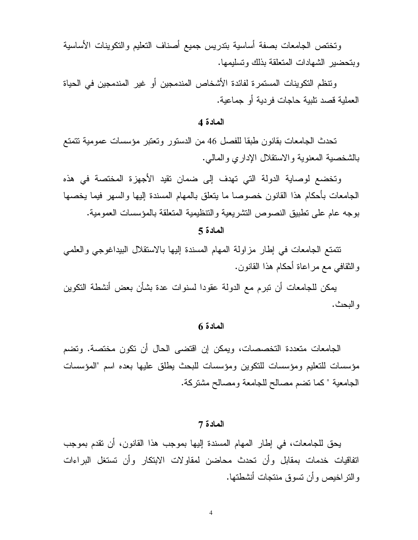وتختص الجامعات بصفة أساسية بتدريس جميع أصناف التعليم والتكوينات الأساسية ويتحضير الشهادات المتعلقة بذلك وتسليمها.

و تنظم النكو بنات المستمر ة لفائدة الأشخاص المندمجين أو غير المندمجين في الحياة العملية قصد تلبية حاجات فردية أو جماعية.

## المادة 4

تحدث الجامعات بقانون طبقا للفصل 46 من الدستور وتعتبر مؤسسات عمومية تتمتع بالشخصية المعنوية والاستقلال الإداري والمالبي.

وتخضع لوصاية الدولة التي تهدف إلى ضمان نقيد الأجهزة المختصة في هذه الجامعات بأحكام هذا القانون خصوصا ما بتعلق بالمهام المسندة إليها والسهر فيما بخصها بوجه عام على تطبيق النصوص التشريعية والتنظيمية المتعلقة بالمؤسسات العمومية.

#### المادة 5

تتمتع الجامعات في إطار مزاولة المهام المسندة إليها بالاستقلال البيداغوجي والعلمي و النقافي مع مراعاة أحكام هذا القانون.

يمكن للجامعات أن نبرم مع الدولة عقودا لسنوات عدة بشأن بعض أنشطة التكوين و البحث.

#### المادة 6

الجامعات متعددة التخصصات، ويمكن إن اقتضبي الحال أن تكون مختصبة. وتضم مؤسسات للتعليم ومؤسسات للتكوين ومؤسسات للبحث يطلق عليها بعده اسم "المؤسسات الجامعية " كما تضم مصالح للجامعة ومصالح مشتركة.

#### المادة 7

يحق للجامعات، في إطار المهام المسندة إليها بموجب هذا القانون، أن نقدم بموجب اتفاقيات خدمات بمقابل وأن تحدث محاضن لمقاولات الابتكار وأن تستغل البراءات والنراخيص وأن نسوق منتجات أنشطتها.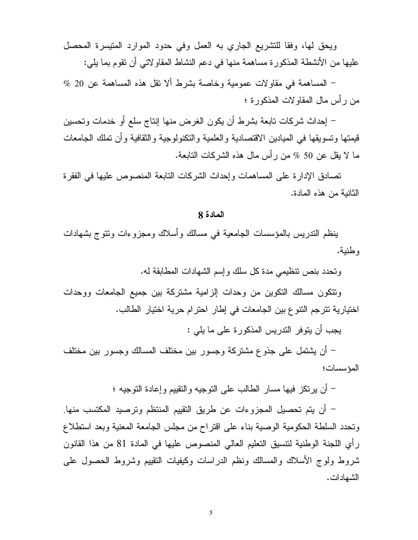ويحق لها، وفقا للتشريع الجاري به العمل وفي حدود الموارد المنيسرة المحصل عليها من الأنشطة المذكورة مساهمة منها في دعم النشاط المقاولاتي أن تقوم بما يلي:

 $\%$  20 المساهمة في مقاولات عمومية وخاصة بشرط ألا نقل هذه المساهمة عن 20  $\%$ من رأس مال المقاولات المذكورة ؛

– إحداث شركات تابعة بشرط أن يكون الغرض منها إنتاج سلع أو خدمات وتحسين قيمتها وتسويقها في الميادين الاقتصادية والعلمية والتكنولوجية والثقافية وأن تملك الجامعات ما لا يقل عن 50 % من رأس مال هذه الشركات النابعة.

تصادق الإدارة على المساهمات وإحداث الشركات النابعة المنصوص عليها في الفقرة الثانية من هذه المادة.

## المادة 8

بنظم الندريس بالمؤسسات الجامعية في مسالك وأسلاك ومجزوءات ونتوج بشهادات و طنبة.

وتحدد بنص نتظيمي مدة كل سلك وإسم الشهادات المطابقة له.

ونتكون مسالك النكوين من وحدات الزامية مشتركة بين جميع الجامعات ووحدات اختيارية نترجم النتوع بين الجامعات في إطار احترام حرية اختيار الطالب.

يجب أن يتوفر التدريس المذكورة على ما يلي :

– أن يشتمل على جذوع مشتركة وجسور بين مختلف المسالك وجسور بين مختلف المؤسسات؛

– أن يرتكز فيها مسار الطالب على النوجيه والنقييم وإعادة النوجيه ؛

– أن يتم تحصيل المجزوءات عن طريق التقييم المنتظم وترصيد المكتسب منها. ونحدد السلطة الحكومية الوصية بناء على اقتراح من مجلس الجامعة المعنية وبعد استطلاع رِ أي اللَّجنة الوطنية لنتسيق النَّعليم العالي المنصوص عليها في المادة 81 من هذا القانون شروط ولوج الأسلاك والمسالك ونظم الدراسات وكبفيات النقيبم وشروط الحصول على الشهادات.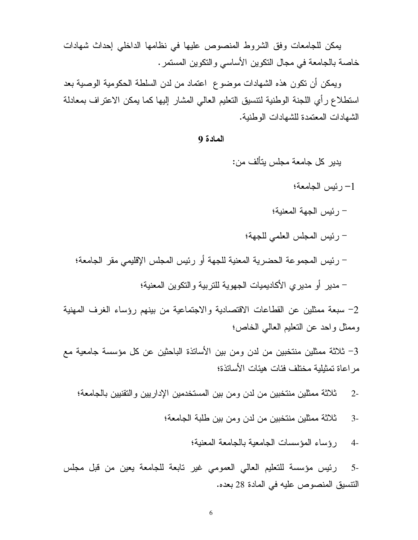يمكن للجامعات وفق الشروط المنصوص عليها في نظامها الداخلي إحداث شهادات خاصة بالجامعة في مجال النكوين الأساسي والنكوين المستمر .

وبِمكن أن نكون هذه الشهادات موضوع ًاعتماد من لدن السلطة الحكومية الوصية بعد استطلاع رأي اللجنة الوطنية لتتسيق التعليم العالى المشار إليها كما يمكن الاعتراف بمعادلة الشهادات المعتمدة للشهادات الوطنية.

#### المادة 9

يدير كل جامعة مجلس بتألف من:

- 1- رئيس الجامعة؛
- رئيس الجهة المعنية؛
- رئيس المجلس العلمي للجهة؛
- رئيس المجموعة الحضرية المعنية للجهة أو رئيس المجلس الإقليمي مقر الجامعة؛
	- مدير أو مديري الأكاديميات الجهوية للتربية والتكوين المعنية؛

2- سبعة ممثلين عن القطاعات الاقتصادية والاجتماعية من بينهم رؤساء الغرف المهنية وممثل واحد عن النعليم العالمي الخاص؛

3– ثلاثة ممثلين منتخبين من لدن ومن بين الأساتذة الباحثين عن كل مؤسسة جامعية مع مر اعاة تمثيلية مختلف فئات هيئات الأساتذة؛

- ثلاثة ممثلين منتخبين من لدن و من بين المستخدمين الإدار بين و التقنبين بالجامعة؛  $2 -$ 
	- ثلاثة ممثلين منتخبين من لدن ومن بين طلبة الجامعة؛  $3-$ 
		- رؤساء المؤسسات الجامعية بالجامعة المعنية؛  $4-$

رئيس مؤسسة للتعليم العالى العمومي غير نابعة للجامعة يعين من قبل مجلس  $5-$ النتسيق المنصوص عليه في المادة 28 بعده.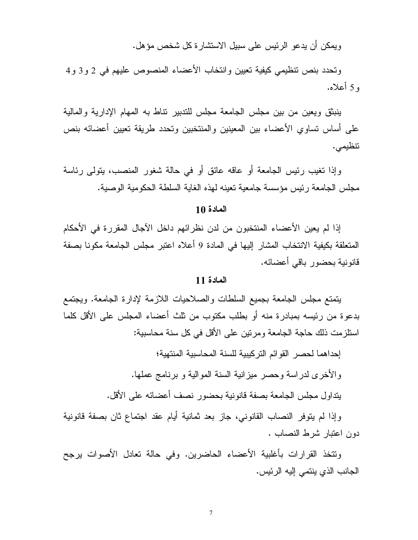ويمكن أن يدعو الرئيس على سبيل الاستشارة كل شخص مؤهل.

وتحدد بنص نتظيمي كيفية تعيين وانتخاب الأعضاء المنصوص عليهم في 2 و3 و4 و 5 أعلاه.

ينبثق ويعين من بين مجلس الجامعة مجلس للندبير نتاط به المهام الإدارية والمالية على أساس نساوي الأعضاء بين المعينين والمنتخبين وتحدد طريقة تعيين أعضائه بنص تتظيمي.

وإذا تغيب رئيس الجامعة أو عاقه عائق أو في حالة شغور المنصب، بنولي رئاسة مجلس الجامعة رئيس مؤسسة جامعية تعينه لهذه الغاية السلطة الحكومية الوصية.

## المادة 10

إذا لم يعين الأعضاء المنتخبون من لدن نظر ائهم داخل الآجال المقرر ة في الأحكام المتعلقة بكيفية الانتخاب المشار إليها في المادة 9 أعلاه اعتبر مجلس الجامعة مكونا بصفة قانونية بحضور باقي أعضائه.

## المادة 11

يتمتع مجلس الجامعة بجميع السلطات والصلاحيات اللازمة لإدارة الجامعة. ويجتمع بدعو ة من رئيسه بمبادر ة منه أو بطلب مكتوب من ثلث أعضاء المجلس على الأقل كلما استلز مت ذلك حاجة الجامعة ومر نين على الأقل في كل سنة محاسبية:

إحداهما لحصر القوائم التركيبية للسنة المحاسبية المنتهية؛

و الأخرى لدر اسة وحصر ٍ ميز انية السنة المو الية و برنامج عملها.

يتداول مجلس الجامعة بصفة قانونية بحضور نصف أعضائه على الأقل.

وإذا لم يتوفر النصاب القانوني، جاز بعد ثمانية أيام عقد اجتماع ثان بصفة قانونية دون اعتبار شرط النصاب .

ونتخذ القرارات بأغلبية الأعضاء الحاضرين. وفي حالة تعادل الأصوات يرجح الجانب الذي ينتمي إليه الرئيس.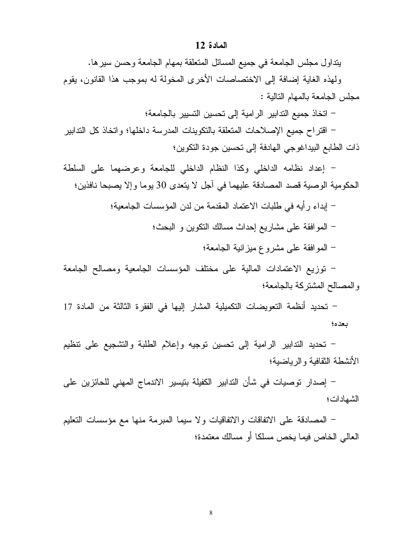#### المادة 12

يتداول مجلس الجامعة في جميع المسائل المتعلقة بمهام الجامعة وحسن سيرها.

ولهذه الغاية إضافة إلى الاختصاصات الأخرى المخولة له بموجب هذا القانون، يقوم مجلس الجامعة بالمهام التالية :

– اتخاذ جميع الندابير الرامية إلى تحسين التسيير بالجامعة؛

– اقتراح جميع الإصلاحات المتعلقة بالتكوينات المدرسة داخلها؛ واتخاذ كل الندابير ذات الطابع البيداغوجي الهادفة إلى نحسين جودة التكوين؛

– إعداد نظامه الداخلي وكذا النظام الداخلي للجامعة وعرضهما على السلطة الحكومية الوصية قصد المصادقة عليهما في أجل لا يتعدى 30 يوما وإلا يصبحا نافذين؛

> – إبداء رأيه في طلبات الاعتماد المقدمة من لدن المؤسسات الجامعية؛ – الموافقة على مشاريع إحداث مسالك النكوين و البحث؛

> > – المو افقة على مشروع ميز انية الجامعة؛

– نوزيع الاعتمادات المالية على مختلف المؤسسات الجامعية ومصالح الجامعة والمصالح المشتركة بالجامعة؛

– تحديد أنظمة التعويضات التكميلية المشار إليها في الفقرة الثالثة من المادة 17 بعده؛

– نحديد الندابير الرامية إلى نحسين نوجيه وإعلام الطلبة والتشجيع على نتظيم الأنشطة النقافية والرياضية؛

– إصدار توصيات في شأن التدابير الكفيلة بتيسير الاندماج المهنى للحائزين على الشهادات؛

– المصادقة على الاتفاقات والاتفاقيات ولا سيما المبرمة منها مع مؤسسات النعليم العالمي الخاص فيما يخص مسلكا أو مسالك معتمدة؛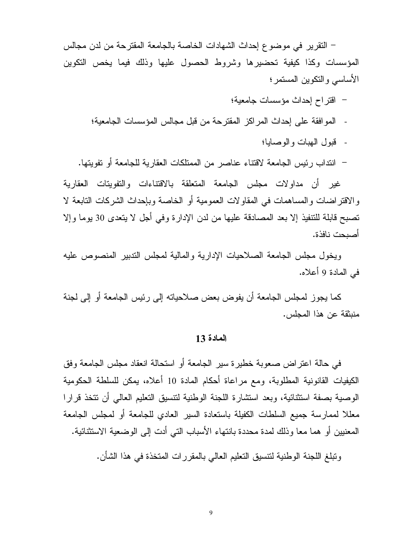– التقرير في موضوع إحداث الشهادات الخاصة بالجامعة المقترحة من لدن مجالس المؤسسات وكذا كيفية تحضيرها وشروط الحصول عليها وذلك فيما يخص التكوين الأساسي والنكوين المستمر؛

- اقتراح إحداث مؤسسات جامعية؛
- المو افقة على إحداث المراكز المقترحة من قبل مجالس المؤسسات الجامعية؛
	- قبول الهبات والوصابا؛
- انتداب رئيس الجامعة لاقتناء عناصر من الممتلكات العقارية للجامعة أو نفويتها.

غير أن مداولات مجلس الجامعة المنعلقة بالاقتناءات والنفوينات العقارية والاقتراضات والمساهمات في المقاولات العمومية أو الخاصة وبإحداث الشركات التابعة لا تصبح قابلة للتنفيذ إلا بعد المصادقة عليها من لدن الإدارة وفي أجل لا يتعدى 30 يوما وإلا أصبحت نافذة.

ويخول مجلس الجامعة الصلاحيات الإدارية والمالية لمجلس الندبير المنصوص عليه في المادة 9 أعلاه.

كما يجوز لمجلس الجامعة أن يفوض بعض صلاحياته إلى رئيس الجامعة أو إلى لجنة منبثقة عن هذا المجلس.

#### المادة 13

في حالة اعتز اض صعوبة خطير ة سير الجامعة أو استحالة انعقاد مجلس الجامعة وفق الكيفيات القانونية المطلوبة، ومع مراعاة أحكام المادة 10 أعلاه، يمكن للسلطة الحكومية الوصية بصفة استثنائية، وبعد استثنارة اللجنة الوطنية لتتسبق التعليم العالبي أن نتخذ قرارا معللا لممارسة جميع السلطات الكفيلة باستعادة السير العادي للجامعة أو لمجلس الجامعة المعنيين أو هما معا وذلك لمدة محددة بانتهاء الأسباب التي أدت إلى الوضعية الاستثنائية.

وتبلغ اللجنة الوطنية لتتسيق التعليم العالمي بالمقررات المتخذة في هذا الشأن.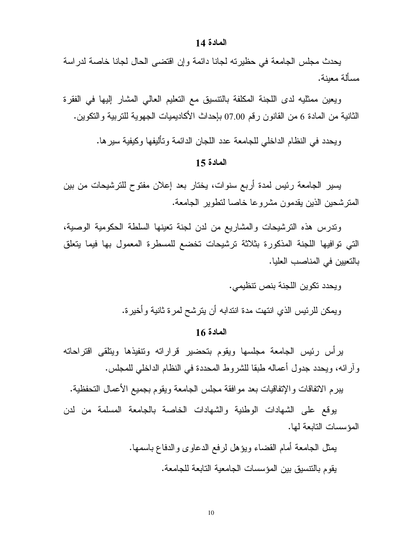#### المادة 14

يحدث مجلس الجامعة في حظيرته لجانا دائمة وإن اقتضى الحال لجانا خاصة لدراسة مسألة معبنة.

ويعين ممثليه لدى اللجنة المكلفة بالنتسيق مع التعليم العالى المشار إليها في الفقرة الثانية من المادة 6 من القانون رقم 07.00 بإحداث الأكاديميات الجهوية للتربية والتكوين.

ويحدد في النظام الداخلي للجامعة عدد اللجان الدائمة وتأليفها وكيفية سيرها.

## المادة 15

يسير الجامعة رئيس لمدة أربع سنوات، يختار بعد إعلان مفتوح للترشيحات من بين المنزشحين الذين يقدمون مشروعا خاصا لنطوير الجامعة.

وندرس هذه الترشيحات والمشاريع من لدن لجنة تعينها السلطة الحكومية الوصية، التي نوافيها اللجنة المذكورة بثلاثة ترشيحات تخضع للمسطرة المعمول بها فيما يتعلق بالتعيين في المناصب العليا.

ويحدد تكوين اللجنة بنص تتظيمي.

ويمكن للرئيس الذي انتهت مدة انتدابه أن يترشح لمرة ثانية وأخيرة.

## المادة 16

يرأس رئيس الجامعة مجلسها ويقوم بتحضير قراراته ونتفيذها ويتلقى اقتراحاته و أر ائه، ويحدد جدول أعماله طبقا للشروط المحددة في النظام الداخلي للمجلس.

ببرم الاتفاقات والإتفاقيات بعد موافقة مجلس الجامعة ويقوم بجميع الأعمال التحفظية.

يوقع على الشهادات الوطنية والشهادات الخاصة بالجامعة المسلمة من لدن المؤسسات التابعة لها.

> يمثل الجامعة أمام القضاء ويؤهل لرفع الدعاوى والدفاع باسمها. يقوم بالنتسيق بين المؤسسات الجامعية التابعة للجامعة.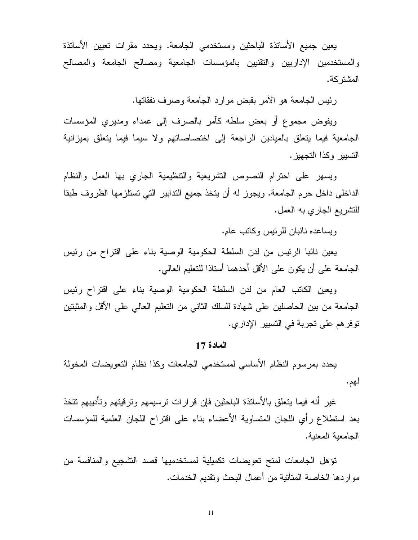يعين جميع الأسانذة الباحثين ومستخدمي الجامعة. ويحدد مقرات نعيين الأسانذة والمستخدمين الإداريين والنقنيين بالمؤسسات الجامعية ومصالح الجامعة والمصالح المشتر كة.

رئيس الجامعة هو الأمر بقبض موارد الجامعة وصرف نفقاتها.

ويفوض مجموع أو بعض سلطه كآمر بالصرف إلى عمداء ومديري المؤسسات الجامعية فيما يتعلق بالميادين الراجعة إلى اختصاصاتهم ولا سيما فيما يتعلق بميزانية التسيير وكذا التجهيز .

ويسهر على احترام النصوص التشريعية والتنظيمية الجاري بها العمل والنظام الداخلي داخل حرم الجامعة. ويجوز له أن يتخذ جميع الندابير التي تستلزمها الظروف طبقا للتشريع الجاري به العمل.

ويساعده نائبان للرئيس وكاتب عام.

يعين نائبا الرئيس من لدن السلطة الحكومية الوصية بناء على اقتراح من رئيس الجامعة على أن يكون على الأقل أحدهما أستاذا للتعليم العالمي.

ويعين الكاتب العام من لدن السلطة الحكومية الوصية بناء على اقتراح رئيس الجامعة من بين الحاصلين على شهادة للسلك الثاني من النعليم العالمي على الأقل والمثبتين نوفر هم على تجربة في التسيير الإدار ي.

## المادة 17

يحدد بمرسوم النظام الأساسى لمستخدمي الجامعات وكذا نظام التعويضات المخولة لهم.

غير أنه فيما يتعلق بالأساتذة الباحثين فإن قرارات نرسيمهم وترقيتهم وتأديبهم نتخذ بعد استطلاع رأي اللجان المتساوية الأعضاء بناء على اقتراح اللجان العلمية للمؤسسات الجامعبة المعنبة.

تؤهل الجامعات لمنح نعويضات نكميلية لمستخدميها قصد التشجيع والمنافسة من مو اردها الخاصة المتأتية من أعمال البحث وتقديم الخدمات.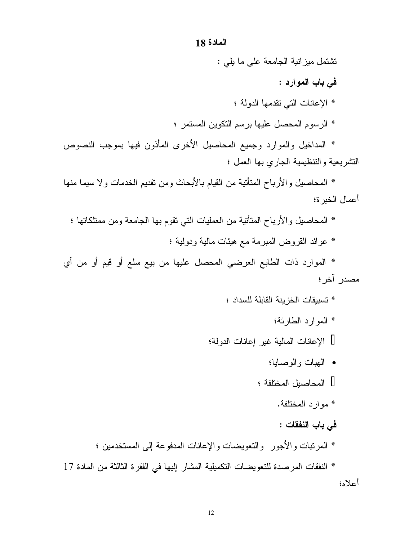## المادة 18

نشتمل ميزانية الجامعة على ما يلي :

في باب الموارد :

- \* الإعانات التي تقدمها الدولة ؛
- \* الرسوم المحصل عليها برسم التكوين المستمر ؛

\* المداخيل والموارد وجميع المحاصيل الأخرى المأذون فيها بموجب النصوص التشريعية والتنظيمية الجارى بها العمل ؛

\* المحاصيل والأرباح المتأنية من القيام بالأبحاث ومن نقديم الخدمات ولا سيما منها أعمال الخبر ة؛

- \* المحاصيل والأرباح المتأتية من العمليات التي تقوم بها الجامعة ومن ممتلكاتها ؛
	- \* عوائد القروض المبرمة مع هيئات مالية ودولية ؛

\* الموارد ذات الطابع العرضبي المحصل عليها من بيع سلع أو قيم أو من أي مصدر آخر ؛

- \* تسببقات الخز بنة القابلة للسداد ؛
	- \* الموارد الطارئة؛

الإعانات المالية غير إعانات الدولة؛

- المهبات والوصابيا؛ المحاصبل المختلفة ؛
	- \* موارد المختلفة.
	- في باب النفقات :
- \* المرتبات والأجور والتعويضات والإعانات المدفوعة إلى المستخدمين ؛

\* النفقات المرصدة للتعويضات التكميلية المشار إليها في الفقرة الثالثة من المادة 17 أعلاه؛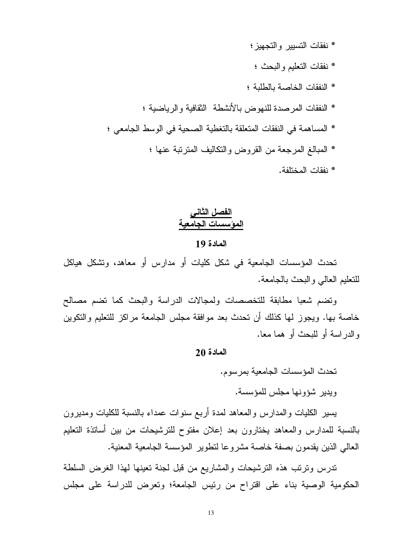- \* نفقات التسيير والتجهيز ؛
	- \* نفقات النعليم والبحث ؛
- \* النفقات الخاصة بالطلبة ؛
- \* النفقات المرصدة للنهوض بالأنشطة النقافية والرياضية ؛
- \* المساهمة في النفقات المتعلقة بالتغطية الصحية في الوسط الجامعي ؛
	- \* المبالغ المرجعة من القروض والتكاليف المنزنبة عنها ؛
		- \* نفقات المختلفة.

# الفصل الثاني المؤسسات الجامعية المادة 19

تحدث المؤسسات الجامعية في شكل كليات أو مدارس أو معاهد، وتشكل هياكل للتعليم العالبي والبحث بالجامعة.

ونضم شعبا مطابقة للتخصصات ولمجالات الدراسة والبحث كما نضم مصالح خاصة بها. ويجوز لها كذلك أن تحدث بعد موافقة مجلس الجامعة مراكز للتعليم والنكوين والدر اسبة أو للبحث أو هما معا.

## المادة 20

تحدث المؤسسات الجامعبة بمر سوم.

ويدير شؤونها مجلس للمؤسسة.

يسير الكليات والمدارس والمعاهد لمدة أربع سنوات عمداء بالنسبة للكليات ومديرون بالنسبة للمدارس والمعاهد يختارون بعد إعلان مفتوح للترشيحات من بين أساتذة التعليم العالمي الذين يقدمون بصفة خاصة مشروعا لنطوير المؤسسة الجامعية المعنية.

ندرس ونرنب هذه النرشيحات والمشاريع من قبل لجنة نعينها لهذا الغرض السلطة الحكومية الوصية بناء على اقتراح من رئيس الجامعة؛ وتعرض للدراسة على مجلس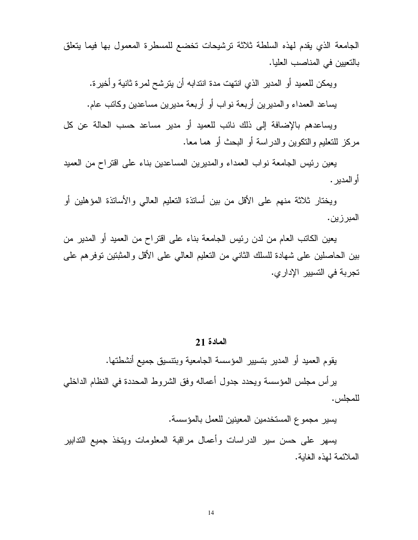الجامعة الذي يقدم لهذه السلطة ثلاثة نرشيحات تخضع للمسطرة المعمول بها فيما يتعلق بالتعيين في المناصب العليا.

ويمكن للعميد أو المدير الذي انتهت مدة انتدابه أن يترشح لمرة ثانية وأخيرة. يساعد العمداء والمديرين أربعة نواب أو أربعة مديرين مساعدين وكاتب عام.

ويساعدهم بالإضافة إلى ذلك نائب للعميد أو مدير مساعد حسب الحالة عن كل مركز للتعليم والنكوين والدر اسة أو البحث أو هما معا.

يعين رئيس الجامعة نواب العمداء والمديرين المساعدين بناء على اقتراح من العميد أو المدبر .

ويختار ثلاثة منهم على الأقل من بين أساتذة النعليم العالي والأساتذة المؤهلين أو المبر زين.

يعين الكاتب العام من لدن رئيس الجامعة بناء على اقتراح من العميد أو المدير من بين الحاصلين على شهادة للسلك الثاني من النعليم العالمي على الأقل والمثبتين نوفرهم على تجربة في التسيير الإدار ي.

## المادة 21

يقوم العميد أو المدير بتسيير المؤسسة الجامعية وبنتسيق جميع أنشطتها.

ير أس مجلس المؤسسة ويحدد جدول أعماله وفق الشروط المحددة في النظام الداخلي للمجلس.

يسير مجموع المستخدمين المعينين للعمل بالمؤسسة.

يسهر على حسن سير الدراسات وأعمال مراقبة المعلومات ويتخذ جميع التدابير الملائمة لهذه الغابة.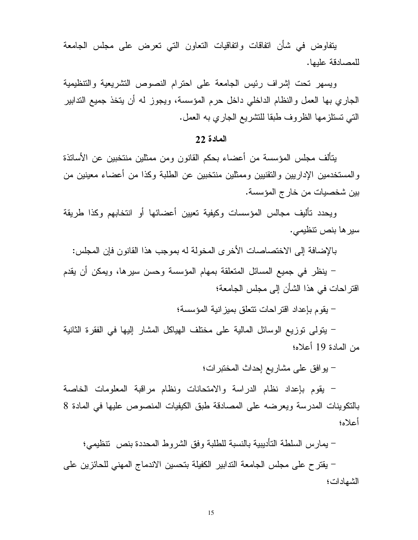يتفاوض في شأن انفاقات وانفاقيات النعاون التي تعرض على مجلس الجامعة للمصادقة علىها.

ويسهر تحت إشراف رئيس الجامعة على احترام النصوص التشريعية والتنظيمية الجاري بها العمل والنظام الداخلي داخل حرم المؤسسة، ويجوز له أن يتخذ جميع التدابير التي نستلزمها الظروف طبقا للتشريع الجاري به العمل.

## المادة 22

يتألف مجلس المؤسسة من أعضاء بحكم القانون ومن ممثلين منتخبين عن الأساتذة والمستخدمين الإداريين والتقنيين وممثلين منتخبين عن الطلبة وكذا من أعضاء معينين من بين شخصيات من خارج المؤسسة.

ويحدد تأليف مجالس المؤسسات وكيفية تعيين أعضائها أو انتخابهم وكذا طريقة سير ها بنص نتظيمي.

بالإضافة إلى الاختصاصات الأخرى المخولة له بموجب هذا القانون فإن المجلس:

– ينظر في جميع المسائل المتعلقة بمهام المؤسسة وحسن سيرها، ويمكن أن يقدم اقتر احات في هذا الشأن إلى مجلس الجامعة؛

– يقوم بإعداد اقتر احات نتعلق بميز انية المؤسسة؛

– يتولَّى توزيع الوسائل المالية على مختلف الهياكل المشار إليها في الفقرة الثانية من المادة 19 أعلاه؛

– يوافق على مشاريع إحداث المختبرات؛

– يقوم بإعداد نظام الدراسة والامتحانات ونظام مراقبة المعلومات الخاصة بالتكوينات المدرسة ويعرضه على المصادقة طبق الكيفيات المنصوص عليها في المادة 8 أعلاه؛

– يمارس السلطة التأديبية بالنسبة للطلبة وفق الشروط المحددة بنص تنظيمي؛

– يقتر ح على مجلس الجامعة التدابير الكفيلة بتحسين الاندماج المهني للحائزين على الشهادات؛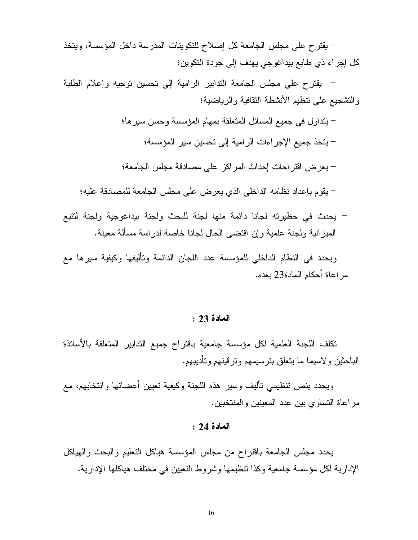– يقترح على مجلس الجامعة كل إصلاح للتكوينات المدرسة داخل المؤسسة، ويتخذ كل إجراء ذي طابع بيداغوجي يهدف إلى جودة التكوين؛

– يقترح على مجلس الجامعة التدابير الرامية إلى تحسين نوجيه وإعلام الطلبة والتشجيع على نتظيم الأنشطة الثقافية والرياضية؛

– يتداول في جميع المسائل المتعلقة بمهام المؤسسة وحسن سيرها؛

– يتخذ جميع الإجر إءات الرامية إلى تحسين سير المؤسسة؛

– يعرض اقتر احات إحداث المر اكز على مصادقة مجلس الجامعة؛

– يقوم بإعداد نظامه الداخلي الذي يعرض على مجلس الجامعة للمصادقة عليه؛

- يحدث في حظيرته لجانا دائمة منها لجنة للبحث ولجنة بيداغوجية ولجنة لتتبع الميزانية ولجنة علمية وإن اقتضى الحال لجانا خاصة لدراسة مسألة معينة.

ويحدد في النظام الداخلي للمؤسسة عدد اللجان الدائمة وتأليفها وكيفية سيرها مع مراعاة أحكام المادة23 بعده.

المادة 23 :

تكلف اللجنة العلمية لكل مؤسسة جامعية باقتراح جميع التدابير المتعلقة بالأساتذة الباحثين ولاسيما ما يتعلق بترسيمهم وترقيتهم وتأديبهم.

ويحدد بنص تتظيمي تأليف وسير هذه اللجنة وكيفية تعيين أعضائها وانتخابهم، مع مراعاة التساوي بين عدد المعينين والمنتخبين.

## المادة 24 :

يحدد مجلس الجامعة باقتراح من مجلس المؤسسة هياكل التعليم والبحث والهياكل الإدارية لكل مؤسسة جامعية وكذا نتظيمها وشروط النعيين في مختلف هياكلها الإدارية.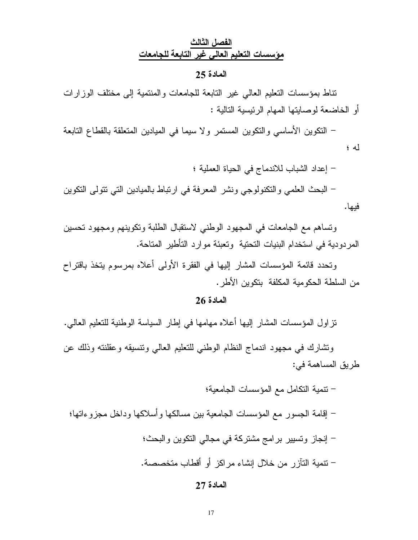# الفصل الثالث مؤسسات التعليم العالى غير التابعة للجامعات

#### المادة 25

تناط بمؤسسات التعليم العالي غير التابعة للجامعات والمنتمية إلى مختلف الوزارات أو الخاضعة لوصايتها المهام الرئيسية التالية :

– النكوين الأساسي والنكوين المستمر ولا سيما في الميادين المتعلقة بالقطاع التابعة  $\left( 4 \right)$ 

- إعداد الشباب للاندماج في الحياة العملية ؛

– البحث العلمي والنكنولوجي ونشر المعرفة في ارتباط بالميادين التي نتولى النكوين فيها.

ونساهم مع الجامعات في المجهود الوطني لاستقبال الطلبة ونكوينهم ومجهود نحسين المردودية في استخدام البنيات التحتية وتعبئة موارد التأطير المتاحة.

وتحدد قائمة المؤسسات المشار إليها في الفقرة الأولى أعلاه بمرسوم يتخذ باقتراح من السلطة الحكومية المكلفة بنكوين الأطر .

## المادة 26

تز اول المؤسسات المشار إليها أعلاه مهامها في إطار السياسة الوطنية للتعليم العالي.

ونشارك في مجهود اندماج النظام الوطني للتعليم العالبي ونتسبقه وعقلنته وذلك عن طريق المساهمة في:

– تنمية التكامل مع المؤسسات الجامعية؛ – إقامة الجسور مع المؤسسات الجامعية بين مسالكها وأسلاكها وداخل مجزوءاتها؛ – إنجاز وتسيير برامج مشتركة في مجالي التكوين والبحث؛ – نتمية التآز ر من خلال إنشاء مر اكز أو أقطاب متخصصة.

## المادة 27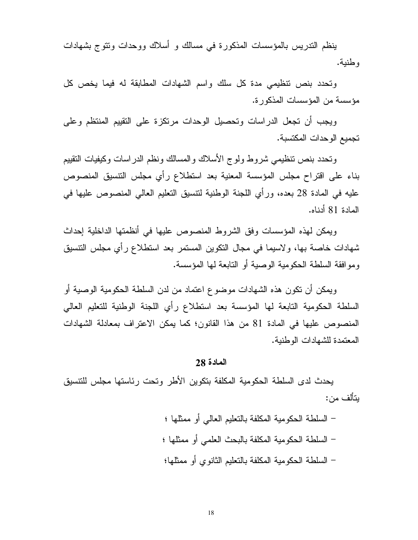ينظم التدريس بالمؤسسات المذكورة في مسالك و أسلاك ووحدات ونتوج بشهادات وطنبة.

وتحدد بنص نتظيمي مدة كل سلك واسم الشهادات المطابقة له فيما يخص كل مؤسسة من المؤسسات المذكورة.

ويجب أن تجعل الدراسات وتحصيل الوحدات مرتكزة على التقييم المنتظم وعلى تجميع الوحدات المكتسبة.

وتحدد بنص نتظيمي شروط ولوج الأسلاك والمسالك ونظم الدراسات وكيفيات النقييم بناء على اقتراح مجلس المؤسسة المعنية بعد استطلاع رأي مجلس النتسيق المنصوص عليه في المادة 28 بعده، ورأي اللجنة الوطنية لنتسيق النعليم العالي المنصوص عليها في المادة 81 أدناه.

ويمكن لهذه المؤسسات وفق الشروط المنصوص عليها في أنظمتها الداخلية إحداث شهادات خاصة بها، ولاسيما في مجال النكوين المستمر بعد استطلاع رأي مجلس النتسيق ومو افقة السلطة الحكومية الوصية أو التابعة لها المؤسسة.

ويمكن أن تكون هذه الشهادات موضوع اعتماد من لدن السلطة الحكومية الوصية أو السلطة الحكومية التابعة لها المؤسسة بعد استطلاع رأي اللجنة الوطنية للتعليم العالى المنصوص عليها في المادة 81 من هذا القانون؛ كما يمكن الاعتراف بمعادلة الشهادات المعتمدة للشهادات الوطنية.

#### المادة 28

يحدث لدى السلطة الحكومية المكلفة بتكوين الأطر وتحت رئاستها مجلس للتتسيق ىتألف من:

> – السلطة الحكومية المكلفة بالتعليم العالمي أو ممثلها ؛ – السلطة الحكومية المكلفة بالبحث العلمي أو ممثلها ؛ – السلطة الحكومية المكلفة بالتعليم الثانو ي أو ممثلها؛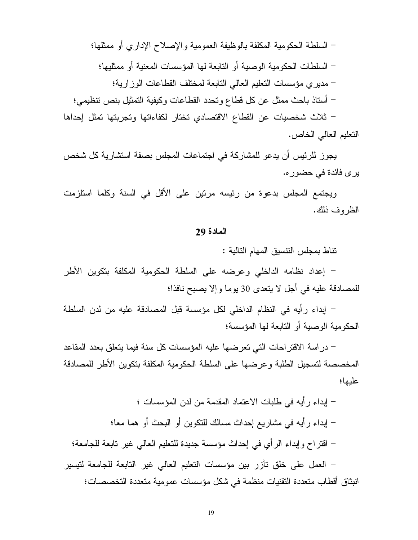– السلطة الحكومية المكلفة بالوظيفة العمومية والإصلاح الإداري أو ممثلها؛ – السلطات الحكومية الوصية أو التابعة لها المؤسسات المعنية أو ممثليها؛ – مدير ى مؤسسات التعليم العالي التابعة لمختلف القطاعات الوز ارية؛ – أستاذ باحث ممثل عن كل قطاع وتحدد القطاعات وكيفية التمثيل بنص تنظيمي؛ – ثلاث شخصيات عن القطاع الاقتصادي نختار لكفاءاتها وتجربتها تمثل إحداها التعليم العالمي الخاص.

يجوز للرئيس أن يدعو للمشاركة في اجتماعات المجلس بصفة استشارية كل شخص بر ی فائدة فی حضور ه.

ويجتمع المجلس بدعوة من رئيسه مرنين على الأقل في السنة وكلما استلزمت الظر وف ذلك.

#### المادة 29

نتاط بمجلس النتسيق المهام التالية :

– إعداد نظامه الداخلي وعرضه على السلطة الحكومية المكلفة بتكوين الأطر للمصادقة عليه في أجل لا يتعدى 30 يوما وإلا يصبح نافذا؛

– إبداء رِ أيه في النظام الداخلي لكل مؤسسة قبل المصادقة عليه من لدن السلطة الحكومية الوصية أو التابعة لها المؤسسة؛

– در اسة الاقتر احات التي تعرضها عليه المؤسسات كل سنة فيما يتعلق بعدد المقاعد المخصصة لتسجيل الطلبة و عر ضبها على السلطة الحكومية المكلفة بتكوين الأطر للمصادقة عليها؛

– إبداء ر أيه في طلبات الاعتماد المقدمة من لدن المؤسسات ؛ – إبداء رأيه في مشاريع إحداث مسالك للتكوين أو البحث أو هما معا؛ – اقتراح وإبداء الرأي في إحداث مؤسسة جديدة للتعليم العالي غير تابعة للجامعة؛ – العمل على خلق تآزر بين مؤسسات التعليم العالي غير التابعة للجامعة لتيسير

انبثاق أقطاب متعددة التقنيات منظمة في شكل مؤسسات عمومية متعددة التخصصات؛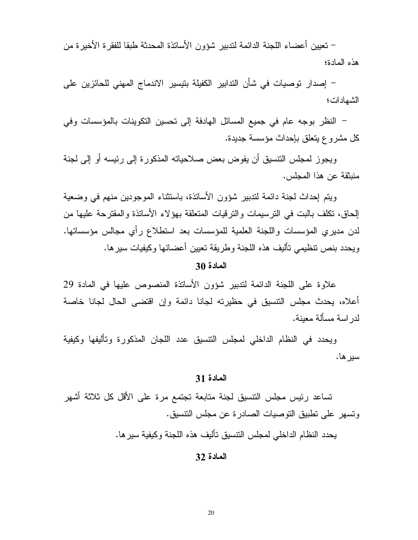– تعيين أعضاء اللجنة الدائمة لتدبير شؤون الأساتذة المحدثة طبقا للفقر ة الأخير ة من هذه المادة؛

– إصدار توصيات في شأن التدابير الكفيلة بتيسير الاندماج المهنى للحائزين على الشهادات؛

– النظر بوجه عام في جميع المسائل الهادفة إلى تحسين النكوينات بالمؤسسات وفي كل مشر و ع يتعلق بإحداث مؤسسة جديدة.

ويجوز لمجلس النتسيق أن يفوض بعض صلاحياته المذكورة إلى رئيسه أو إلى لجنة منبثقة عن هذا المجلس.

ويتم إحداث لجنة دائمة لتدبير شؤون الأساتذة، باستثناء الموجودين منهم في وضعية الحاق، تكلف بالبت في التر سيمات والتر قيات المتعلقة بـهوَ لاء الأساتذة والمقتر حة عليها من لدن مديري المؤسسات واللجنة العلمية للمؤسسات بعد استطلاع رأي مجالس مؤسساتها. ويحدد بنص تنظيمي تأليف هذه اللجنة وطريقة تعيين أعضائها وكيفيات سيرها.

## المادة 30

علاوة على اللجنة الدائمة لتدبير شؤون الأساتذة المنصوص عليها في المادة 29 أعلاه، يحدث مجلس النتسيق في حظيرته لجانا دائمة وإن اقتضى الحال لجانا خاصة لدر اسة مسألة معبنة.

ويحدد في النظام الداخلي لمجلس النتسيق عدد اللجان المذكورة وتأليفها وكيفية سير ها.

#### المادة 31

تساعد رئيس مجلس النتسيق لجنة متابعة تجتمع مرة على الأقل كل ثلاثة أشهر وتسهر على تطبيق التوصيات الصادرة عن مجلس التتسيق.

يحدد النظام الداخلي لمجلس النتسيق تأليف هذه اللجنة وكيفية سير ها.

المادة 32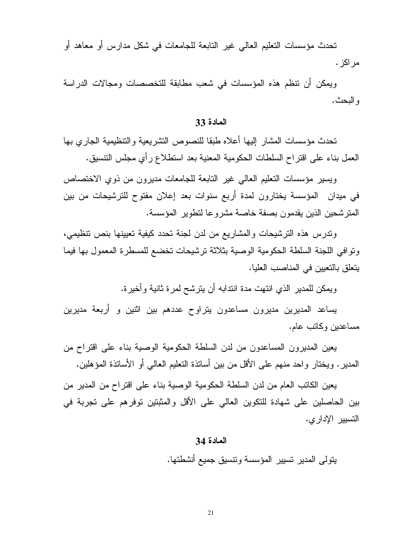تحدث مؤسسات التعليم العالي غير التابعة للجامعات في شكل مدارس أو معاهد أو مر اکز .

ويمكن أن نتظم هذه المؤسسات في شعب مطابقة للتخصصات ومجالات الدراسة و البحث.

#### المادة 33

تحدث مؤسسات المشار إليها أعلاه طبقا للنصوص التشريعية والتنظيمية الجارى بها العمل بناء على اقتراح السلطات الحكومية المعنية بعد استطلاع رأي مجلس النتسبق.

ويسير مؤسسات النعليم العالى غير النابعة للجامعات مديرون من ذوي الاختصاص في ميدان المؤسسة يختارون لمدة أربع سنوات بعد إعلان مفتوح للترشيحات من بين المترشحين الذين يقدمون بصفة خاصة مشروعا لتطوير المؤسسة.

وندرس هذه الترشيحات والمشاريع من لدن لجنة تحدد كيفية تعيينها بنص تتظيمي، ونو افي اللجنة السلطة الحكومية الوصية بثلاثة نر شيحات تخضع للمسطر ة المعمول بها فيما يتعلق بالتعيين في المناصب العليا.

و بِمكن للمدير الذي انتهت مدة انتدابه أن يتر شح لمر ة ثانية و أخير ة.

يساعد المديرين مديرون مساعدون يتراوح عددهم بين اثنين و أربعة مديرين مساعدين وكاتب عام.

يعين المديرون المساعدون من لدن السلطة الحكومية الوصية بناء على اقتراح من المدير . ويختار واحد منهم على الأقل من بين أساتذة النعليم العالمي أو الأساتذة المؤهلين.

يعين الكاتب العام من لدن السلطة الحكومية الوصية بناء على اقتراح من المدير من بين الحاصلين على شهادة للتكوين العالي على الأقل والمثبتين توفرهم على تجربة في التسبير الإدار ي.

#### المادة 34

يتولى المدير تسيير المؤسسة ونتسيق جميع أنشطتها.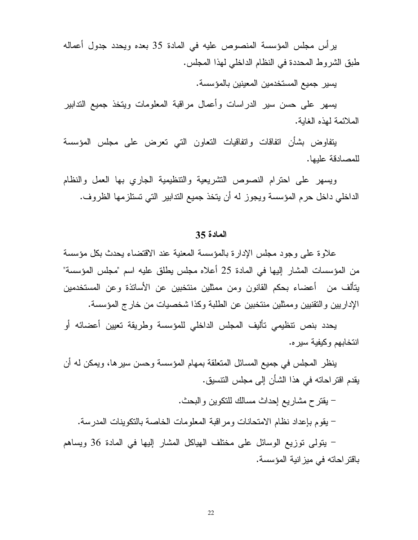ير أس مجلس المؤسسة المنصوص عليه في المادة 35 بعده ويحدد جدول أعماله طبق الشروط المحددة في النظام الداخلي لهذا المجلس.

يسير جميع المستخدمين المعينين بالمؤسسة.

يسهر على حسن سير الدر اسات وأعمال مراقبة المعلومات ويتخذ جميع التدابير الملائمة لهذه الغابة.

يتفاوض بشأن انفاقات واتفاقيات النعاون التبى تعرض على مجلس المؤسسة للمصادقة علبها.

ويسهر على احترام النصوص التشريعية والتنظيمية الجاري بها العمل والنظام الداخلي داخل حرم المؤسسة ويجوز له أن يتخذ جميع التدابير التي تستلزمها الظروف.

#### المادة 35

علاوة على وجود مجلس الإدارة بالمؤسسة المعنية عند الاقتضاء يحدث بكل مؤسسة من المؤسسات المشار ِ إليها في المادة 25 أعلاه مجلس يطلق عليه اسم "مجلس المؤسسة" يتألف من أعضاء بحكم القانون ومن ممثلين منتخبين عن الأساتذة وعن المستخدمين الإداريين والتقنيين وممثلين منتخبين عن الطلبة وكذا شخصيات من خارج المؤسسة.

يحدد بنص تنظيمي تأليف المجلس الداخلي للمؤسسة وطريقة تعيين أعضائه أو انتخابهم وكيفية سيره.

ينظر المجلس في جميع المسائل المتعلقة بمهام المؤسسة وحسن سيرها، ويمكن له أن يقدم اقتر احاته في هذا الشأن إلى مجلس التتسيق.

– يقترح مشاريع إحداث مسالك للنكوين والبحث. – يقوم بإعداد نظام الامتحانات ومراقبة المعلومات الخاصة بالتكوينات المدرسة.

– يتولَّى توزيع الوسائل على مختلف الهياكل المشار إليها في المادة 36 ويساهم باقتر احاته في ميز انية المؤسسة.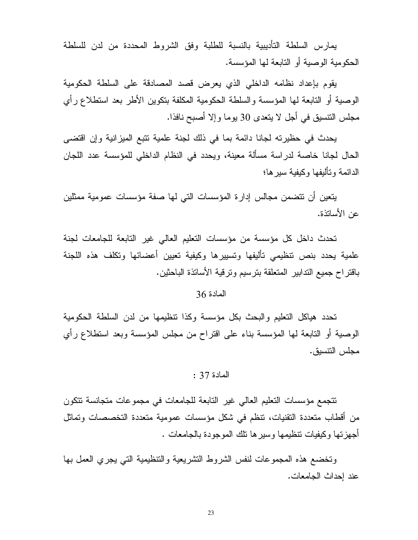يمارس السلطة التأديبية بالنسبة للطلبة وفق الشروط المحددة من لدن للسلطة الحكومية الوصية أو التابعة لها المؤسسة.

بِقوم بإعداد نظامه الداخلي الذي يعرض قصد المصادقة على السلطة الحكومية الوصية أو التابعة لـها المؤسسة والسلطة الـحكومية المكلفة بتكوين الأطر بـعد استطلاع رأي مجلس النتسيق في أجل لا يتعدى 30 يوما وإلا أصبح نافذا.

يحدث في حظيرته لجانا دائمة بما في ذلك لجنة علمية نتبع الميزانية وإن اقتضى الحال لجانا خاصة لدراسة مسألة معينة، ويحدد في النظام الداخلي للمؤسسة عدد اللجان الدائمة و تألبفها و كبفبة سبر ها؛

يتعين أن نتضمن مجالس إدارة المؤسسات التي لها صفة مؤسسات عمومية ممثلين عن الأساتذة.

تحدث داخل كل مؤسسة من مؤسسات التعليم العالمي غير التابعة للجامعات لجنة علمية يحدد بنص نتظيمي تأليفها وتسييرها وكيفية تعيين أعضائها وتكلف هذه اللجنة باقتراح جميع التدابير المتعلقة بترسيم وترقية الأساتذة الباحثين.

## المادة 36

تحدد هياكل التعليم والبحث بكل مؤسسة وكذا نتظيمها من لدن السلطة الحكومية الوصية أو التابعة لها المؤسسة بناء على اقتراح من مجلس المؤسسة وبعد استطلاع رأى مجلس التنسيق.

## المادة 37 :

تتجمع مؤسسات التعليم العالي غير التابعة للجامعات في مجموعات متجانسة تتكون من أقطاب متعددة النقنيات، تنظم في شكل مؤسسات عمومية متعددة التخصصات وتماثل أجهزتها وكيفيات نتظيمها وسيرها نلك الموجودة بالجامعات .

ونخضع هذه المجموعات لنفس الشروط النشريعية والتنظيمية التبي يجري العمل بها عند احداث الجامعات.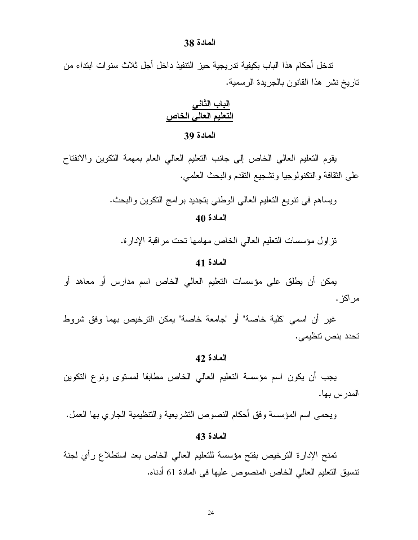#### المادة 38

تدخل أحكام هذا الباب بكيفية تدريجية حيز النتفيذ داخل أجل ثلاث سنوات ابتداء من تاريخ نشر هذا القانون بالجريدة الرسمية.

# الباب الثانى التعليم العالى الخاص

## المادة 39

يقوم التعليم العالمي الخاص إلىي جانب التعليم العالمي العام بمهمة النكوين والانفتاح على الثقافة والنكنولوجيا ونشجيع النقدم والبحث العلمي.

> ويساهم في نتويع النعليم العالي الوطني بنجديد برامج النكوين والبحث. المادة 40

تزاول مؤسسات النعليم العالمي الخاص مهامها نحت مراقبة الإدارة.

#### المادة 41

يمكن أن يطلق على مؤسسات التعليم العالمي الخاص اسم مدارس أو معاهد أو مر اکز .

غير أن اسمى "كلية خاصة" أو "جامعة خاصة" بمكن الترخيص بهما وفق شروط تحدد بنص تنظيمي.

## المادة 42

يجب أن يكون اسم مؤسسة النعليم العالمي الخاص مطابقا لمسنوى ونوع النكوين المدرس بها.

ويحمى اسم المؤسسة وفق أحكام النصوص التشريعية والنتظيمية الجاري بها العمل.

## المادة 43

تمنح الإدارة الترخيص بفتح مؤسسة للتعليم العالى الخاص بعد استطلاع رأي لجنة نتسيق التعليم العالي الخاص المنصوص عليها في المادة 61 أدناه.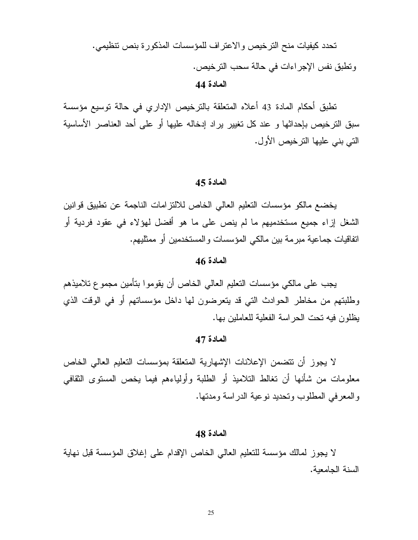تحدد كيفيات منح الترخيص والاعتراف للمؤسسات المذكورة بنص تنظيمي. ونطبق نفس الإجراءات في حالة سحب الترخيص. المادة 44

تطبق أحكام المادة 43 أعلاه المتعلقة بالترخيص الإداري في حالة توسيع مؤسسة سبق الترخيص بإحداثها و عند كل تغيير براد إدخاله عليها أو على أحد العناصر الأساسية التي بني عليها الترخيص الأول.

#### المادة 45

يخضع مالكو مؤسسات التعليم العالي الخاص للالتزامات الناجمة عن تطبيق قوانين الشغل إزاء جميع مستخدميهم ما لم ينص على ما هو أفضل لهؤلاء في عقود فردية أو اتفاقيات جماعية مبر مة بين مالكي المؤسسات و المستخدمين أو ممثليهم.

## المادة 46

يجب على مالكي مؤسسات التعليم العالي الخاص أن يقوموا بتأمين مجموع تلاميذهم وطلبتهم من مخاطر الحوادث التي قد بتعرضون لها داخل مؤسساتهم أو في الوقت الذي يظلون فيه تحت الحر اسة الفعلية للعاملين بها.

## المادة 47

لا يجوز أن تتضمن الإعلانات الإشهارية المتعلقة بمؤسسات التعليم العالي الخاص معلومات من شأنها أن نغالط النلاميذ أو الطلبة وأولياءهم فيما يخص المستوى الثقافي والمعرفي المطلوب وتحديد نوعية الدراسة ومدتها.

#### المادة 48

لا يجوز لمالك مؤسسة للتعليم العالي الخاص الإقدام على إغلاق المؤسسة قبل نهاية السنة الجامعية.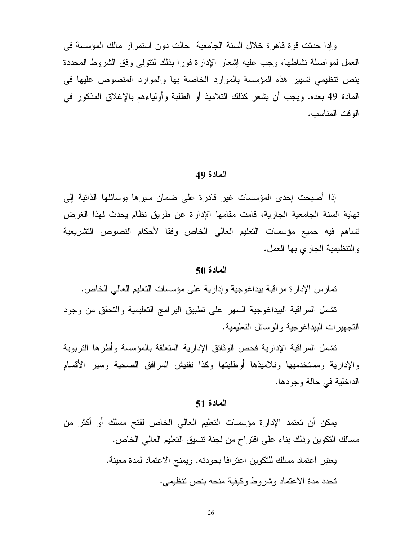وإذا حدثت قوة قاهرة خلال السنة الجامعية حالت دون استمرار مالك المؤسسة في العمل لمواصلة نشاطها، وجب عليه إشعار الإدارة فورا بذلك لنتولَّى وفق الشروط المحددة بنص نتظيمي تسبير هذه المؤسسة بالموارد الخاصة بها والموارد المنصوص عليها في المادة 49 بعده. ويجب أن يشعر كذلك التلاميذ أو الطلبة وأولياءهم بالإغلاق المذكور في الوقت المناسب.

#### المادة 49

إذا أصبحت إحدى المؤسسات غير قادرة على ضمان سيرها بوسائلها الذاتية إلى نهاية السنة الجامعية الجارية، قامت مقامها الإدارة عن طريق نظام يحدث لهذا الغرض تساهم فيه جميع مؤسسات التعليم العالمي الخاص وفقا لأحكام النصوص التشريعية والنتظيمية الجارى بها العمل.

## المادة 50

تمارس الإدارة مراقبة بيداغوجية وإدارية على مؤسسات التعليم العالي الخاص.

تشمل المراقبة البيداغوجية السهر على نطبيق البرامج التعليمية والتحقق من وجود التجهيز ات البيداغوجية والوسائل التعليمية.

تشمل المراقبة الإدارية فحص الوثائق الإدارية المتعلقة بالمؤسسة وأطرها التربوية والإدارية ومستخدميها وتلاميذها أوطلبتها وكذا تفتيش المرافق الصحية وسير الأقسام الداخلية في حالة وجودها.

#### المادة 51

يمكن أن تعتمد الإدارة مؤسسات التعليم العالي الخاص لفتح مسلك أو أكثر من مسالك النكوين وذلك بناء على اقتراح من لجنة نتسبق النعليم العالي الخاص.

> يعتبر اعتماد مسلك للتكوين اعترافا بجودته. ويمنح الاعتماد لمدة معينة. تحدد مدة الاعتماد وشروط وكيفية منحه بنص تتظيمي.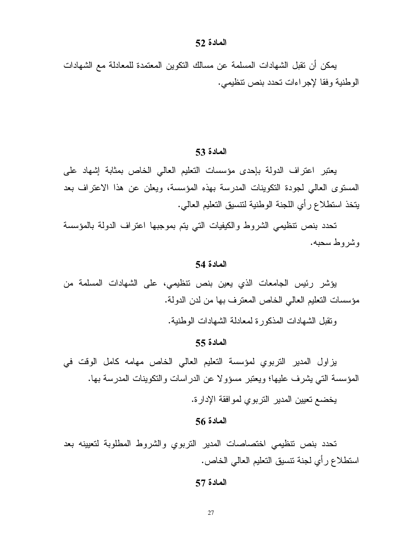#### المادة 52

يمكن أن نقبل الشهادات المسلمة عن مسالك النكوين المعتمدة للمعادلة مع الشهادات الوطنية وفقا لإجراءات تحدد بنص نتظيمي.

#### المادة 53

يعتبر اعتراف الدولة بإحدى مؤسسات التعليم العالى الخاص بمثابة إشهاد على المستوى العالمي لجودة النكوينات المدرسة بهذه المؤسسة، ويعلن عن هذا الاعتراف بعد يتخذ استطلاع رأى اللجنة الوطنية لتتسيق التعليم العالبي.

تحدد بنص نتظيمي الشروط والكيفيات التي يتم بموجبها اعتراف الدولة بالمؤسسة وشر وط سجبه.

#### المادة 54

يؤشر رئيس الجامعات الذي يعين بنص نتظيمي، على الشهادات المسلمة من مؤسسات التعليم العالي الخاص المعترف بها من لدن الدولة.

وتقبل الشهادات المذكور ة لمعادلة الشهادات الوطنبة.

#### المادة 55

يزاول المدير التربوي لمؤسسة التعليم العالي الخاص مهامه كامل الوقت في المؤسسة التي يشرف عليها؛ ويعتبر مسؤولا عن الدراسات والنكوينات المدرسة بها.

يخضع تعيين المدير التربوي لموافقة الإدارة.

## المادة 56

تحدد بنص تنظيمي اختصاصات المدير النربوي والشروط المطلوبة لتعيينه بعد استطلاع ر أي لجنة نتسبق التعليم العالمي الخاص.

## المادة 57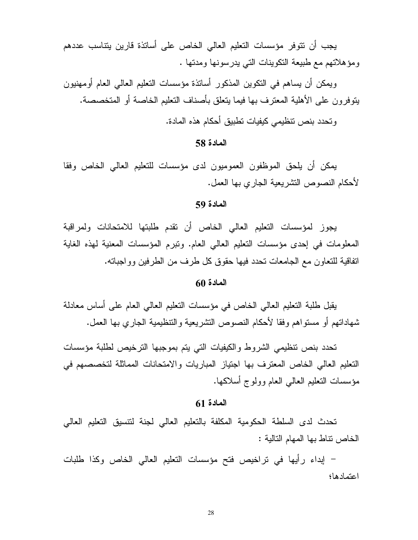يجب أن نتوفر مؤسسات التعليم العالي الخاص على أساتذة قارين بتناسب عددهم ومؤهلاتهم مع طبيعة التكوينات التي يدرسونها ومدتها .

وبمكن أن يساهم في النكوين المذكور أسانذة مؤسسات النعليم العالمي العام أومهنيون بِنَوفِرونِ علي الأهلية المعترِف بها فيما بِنعلق بِأصناف النعليم الخاصة أو المتخصصة.

وتحدد بنص نتظيمي كيفيات تطبيق أحكام هذه المادة.

المادة 58

يمكن أن يلحق الموظفون العموميون لدى مؤسسات للنعليم العالمي الخاص وفقا لأحكام النصوص النشريعية الجارى بها العمل.

## المادة 59

يجوز لمؤسسات النعليم العالى الخاص أن نقدم طلبتها للامتحانات ولمراقبة المعلومات في إحدى مؤسسات التعليم العالمي العام. ونبرم المؤسسات المعنية لهذه الغاية اتفاقية للنعاون مع الجامعات نحدد فيها حقوق كل طرف من الطرفين وواجبانه.

#### المادة 60

يقبل طلبة التعليم العالي الخاص في مؤسسات التعليم العالي العام على أساس معادلة شهاداتهم أو مستواهم وفقا لأحكام النصوص النشريعية والتنظيمية الجاري بها العمل.

تحدد بنص نتظيمي الشروط والكيفيات التي يتم بموجبها الترخيص لطلبة مؤسسات التعليم العالي الخاص المعترف بها اجتياز المباريات والامتحانات المماثلة لتخصصهم في مؤسسات النعليم العالمي العام وولوج أسلاكها.

## المادة 61

تحدث لدى السلطة الحكومية المكلفة بالتعليم العالى لجنة لتتسيق التعليم العالي الخاص نتاط بها المهام التالبة :

– إبداء رأيها في تراخيص فتح مؤسسات النعليم العالمي الخاص وكذا طلبات اعتمادها؛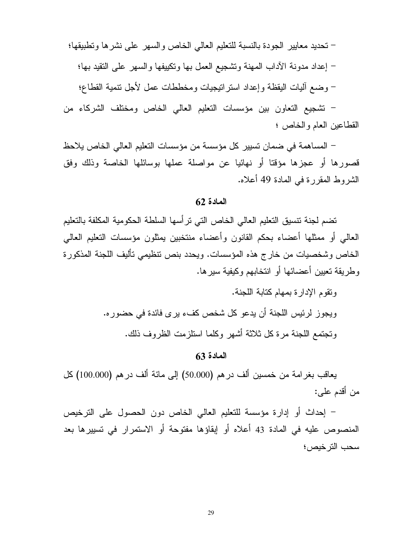– تحديد معايير الجودة بالنسبة للتعليم العالى الخاص والسهر على نشرها وتطبيقها؛ – إعداد مدونة الأداب المهنة ونتثىجيع العمل بها ونكييفها والسهر على النقيد بها؛ – وضع أليات البقظة وإعداد استرانيجيات ومخططات عمل لأجل نتمية القطاع؛

– تشجيع التعاون بين مؤسسات التعليم العالمي الخاص ومختلف الشركاء من القطاعين العام والخاص ؛

– المساهمة في ضمان تسيير كل مؤسسة من مؤسسات التعليم العالي الخاص يلاحظ قصورها أو عجزها مؤقتا أو نهائيا عن مواصلة عملها بوسائلها الخاصة وذلك وفق الشروط المقررة في المادة 49 أعلاه.

#### $62$  المادة

تضم لجنة نتسيق التعليم العالي الخاص التي نر أسها السلطة الحكومية المكلفة بالتعليم العالمي أو ممثلها أعضاء بحكم القانون وأعضاء منتخبين يمثلون مؤسسات التعليم العالمي الخاص وشخصيات من خارج هذه المؤسسات. ويحدد بنص نتظيمي تأليف اللجنة المذكورة وطريقة تعيين أعضائها أو انتخابهم وكيفية سيرها.

> ونقوم الإدارة بمهام كتابة اللجنة. ويجوز لرئيس اللجنة أن يدعو كل شخص كفء يرى فائدة في حضور ه. وتجتمع اللجنة مر ة كل ثلاثة أشهر وكلما استلزمت الظروف ذلك.

#### المادة 63

يعاقب بغرامة من خمسين ألف در هم (50.000) إلى مائة ألف در هم (100.000) كل من أقدم علمي:

– إحداث أو إدارة مؤسسة للتعليم العالي الخاص دون الحصول على الترخيص المنصوص عليه في المادة 43 أعلاه أو إبقاؤها مفتوحة أو الاستمرار في تسييرها بعد سحب التر خبص؛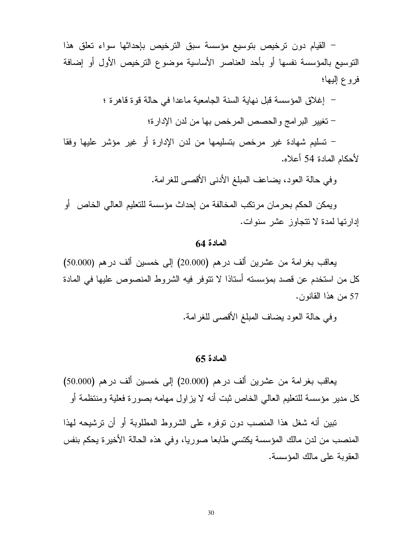- القيام دون ترخيص بتوسيع مؤسسة سبق الترخيص بإحداثها سواء تعلق هذا النوسيع بالمؤسسة نفسها أو بأحد العناصر الأساسية موضوع النرخيص الأول أو إضافة فروع إليها؛

– إغلاق المؤسسة قبل نهاية السنة الجامعية ماعدا في حالة قوة قاهرة ؛

– تغيير البر امج و الحصص المرخص بها من لدن الإدار ة؛

– تسليم شهادة غير مرخص بتسليمها من لدن الإدارة أو غير مؤشر عليها وفقا لأحكام المادة 54 أعلاه.

و في حالة العود، يضاعف المبلغ الأدني الأقصبي للغر امة.

ويمكن الحكم بحرمان مرتكب المخالفة من إحداث مؤسسة للتعليم العالي الخاص أو إدارتها لمدة لا تتجاوز عشر سنوات.

## المادة 64

يعاقب بغرامة من عشرين ألف درهم (20.000) إلى خمسين ألف درهم (50.000) كل من استخدم عن قصد بمؤسسته أستاذا لا نتوفر فيه الشروط المنصوص عليها في المادة 57 من هذا القانون.

وفي حالة العود بضاف المبلغ الأقصى للغرامة.

## $65$  ألمادة

يعاقب بغرامة من عشرين ألف درهم (20.000) إلى خمسين ألف درهم (50.000) كل مدير مؤسسة للنعليم العالى الخاص ثبت أنه لا يزاول مهامه بصورة فعلية ومنتظمة أو

تبين أنه شغل هذا المنصب دون توفره على الشروط المطلوبة أو أن ترشيحه لهذا المنصب من لدن مالك المؤسسة يكتسى طابعا صوريا، وفي هذه الحالة الأخيرة يحكم بنفس العقوبة على مالك المؤسسة.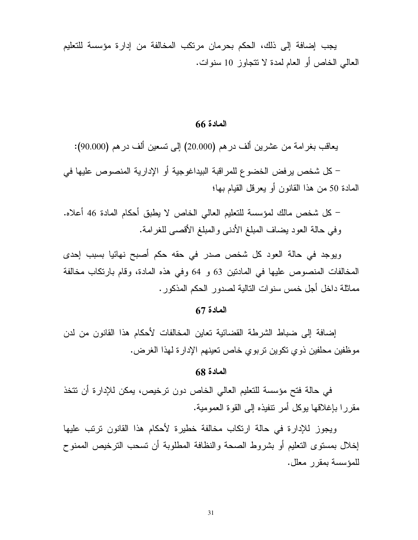يجب إضافة إلى ذلك، الحكم بحرمان مرتكب المخالفة من إدارة مؤسسة للتعليم العالمي الخاص أو العام لمدة لا تتجاوز 10 سنوات.

## المادة 66

يعاقب بغرامة من عشرين ألف درهم (20.000) إلى تسعين ألف درهم (90.000):

– كل شخص يرفض الخضوع للمر اقبة البيداغوجية أو الإدارية المنصوص عليها في المعادة 50 من هذا القانون أو يعرفل القيام بها؛

– كل شخص مالك لمؤسسة للتعليم العالي الخاص لا يطبق أحكام المادة 46 أعلاه. وفي حالة العود بضاف المبلغ الأدنبي والمبلغ الأقصبي للغرامة.

ويوجد في حالة العود كل شخص صدر في حقه حكم أصبح نهائيا بسبب إحدى المخالفات المنصوص عليها في المادنين 63 و 64 وفي هذه المادة، وقام بارتكاب مخالفة مماثلة داخل أجل خمس سنوات التالية لصدور الحكم المذكور .

## المادة 67

إضافة إلى ضباط الشرطة القضائية تعاين المخالفات لأحكام هذا القانون من لدن موظفين محلفين ذوي تكوين تربوي خاص تعينهم الإدارة لهذا الغرض.

## المادة 68

في حالة فتح مؤسسة للتعليم العالي الخاص دون ترخيص، يمكن للإدارة أن تتخذ مقرر ا بإغلاقها بوكل أمر تتفيذه إلى القوة العمومية.

ويجوز للإدارة في حالة ارتكاب مخالفة خطيرة لأحكام هذا القانون ترتب عليها إخلال بمستوى التعليم أو بشروط الصحة والنظافة المطلوبة أن تسحب الترخيص الممنوح للمؤسسة بمقرر معلل.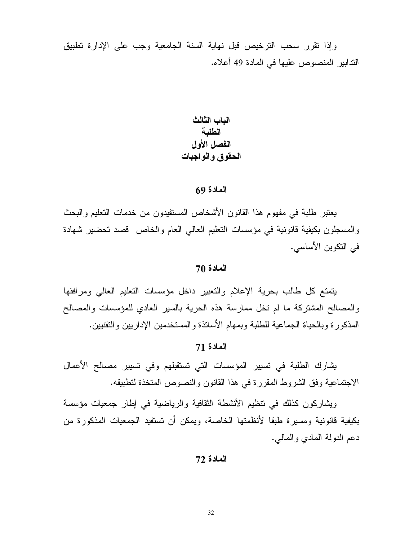وإذا نقرر سحب الترخيص قبل نهاية السنة الجامعية وجب على الإدارة تطبيق الندابير المنصوص عليها في المادة 49 أعلاه.

> الباب الثالث الطلبة الفصل الأول الحقوق والواجبات

#### المادة 69

يعتبر طلبة في مفهوم هذا القانون الأشخاص المستفيدون من خدمات التعليم والبحث والمسجلون بكيفية فانونية في مؤسسات النعليم العالمي العام والخاص قصد نحضير شهادة في التكوين الأساسي.

#### المادة 70

يتمتع كل طالب بحرية الإعلام والتعبير داخل مؤسسات التعليم العالى ومرافقها والمصالح المشتركة ما لم تخل ممارسة هذه الحرية بالسير العادي للمؤسسات والمصالح المذكورة وبالحياة الجماعية للطلبة وبمهام الأساتذة والمستخدمين الإداريين والتقنيين.

## المادة 71

يشارك الطلبة في تسيير المؤسسات التي تستقبلهم وفي تسيير مصالح الأعمال الاجتماعية وفق الشروط المقررة في هذا القانون والنصوص المتخذة لتطبيقه.

ويشاركون كذلك في نتظيم الأنشطة الثقافية والرياضية في إطار جمعيات مؤسسة بكيفية قانونية ومسيرة طبقا لأنظمتها الخاصة، ويمكن أن نستفيد الجمعيات المذكورة من دعم الدولة المادي والمالبي.

#### المادة 72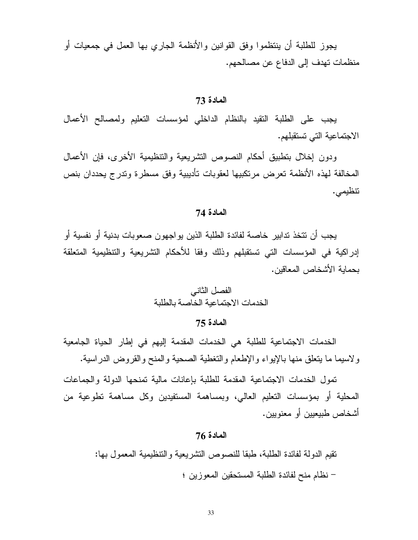يجوز للطلبة أن ينتظموا وفق القوانين والأنظمة الجاري بها العمل في جمعيات أو منظمات تهدف إلى الدفاع عن مصالحهم.

#### المادة 73

يجب على الطلبة النقيد بالنظام الداخلي لمؤسسات النعليم ولمصالح الأعمال الاجتماعية التي تستقبلهم.

ودون إخلال بتطبيق أحكام النصوص التشريعية والتنظيمية الأخرى، فإن الأعمال المخالفة لهذه الأنظمة تعرض مرتكبيها لعقوبات تأديبية وفق مسطرة وتدرج يحددان بنص نتظيمي.

## المادة 74

يجب أن نتخذ ندابير خاصة لفائدة الطلبة الذين يو اجهون صعوبات بدنية أو نفسية أو إدراكية في المؤسسات التي تستقبلهم وذلك وفقا للأحكام النشريعية والتنظيمية المتعلقة بحماية الأشخاص المعاقين.

# الفصل الثاني الخدمات الاجتماعية الخاصة بالطلبة

#### المادة 75

الخدمات الاجتماعية للطلبة هي الخدمات المقدمة إليهم في إطار الحياة الجامعية ولاسيما ما يتعلق منها بالإيواء والإطعام والتغطية الصحية والمنح والقروض الدراسية.

تمول الخدمات الاجتماعية المقدمة للطلبة بإعانات مالية تمنحها الدولة والجماعات المحلية أو بمؤسسات التعليم العالمي، وبمساهمة المستفيدين وكل مساهمة تطوعية من أشخاص طبيعيين أو معنويين.

## المادة 76

نقيم الدولة لفائدة الطلبة، طبقا للنصوص التشريعية والتنظيمية المعمول بها: – نظام منح لفائدة الطلبة المستحقين المعوزين ؛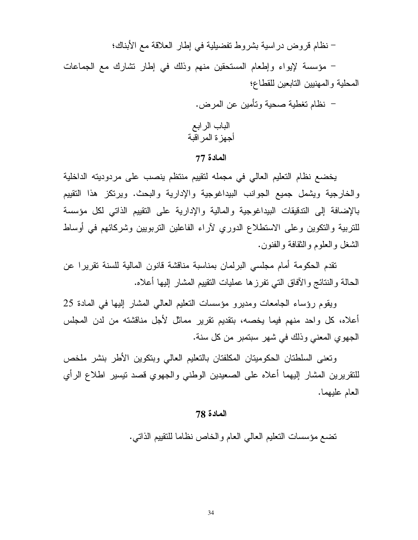– نظام قروض دراسية بشروط تفضيلية في إطار العلاقة مع الأبناك؛

– مؤسسة لإيواء وإطعام المستحقين منهم وذلك في إطار تشارك مع الجماعات المحلية والمهنبين التابعين للقطاع؛

> – نظام تغطية صحية وتأمين عن المرض. الباب الرابع أجهز ة المر اقبة

## المادة 77

يخضع نظام التعليم العالي في مجمله لتقييم منتظم ينصب على مردوديته الداخلية والخارجية ويشمل جميع الجوانب البيداغوجية والإدارية والبحث. ويرتكز هذا التقييم بالإضافة إلى التدقيقات البيداغوجية والمالية والإدارية على التقييم الذاتي لكل مؤسسة للتربية والتكوين وعلى الاستطلاع الدوري لآراء الفاعلين التربويين وشركائهم في أوساط الشغل والعلوم والنقافة والفنون.

تقدم الحكومة أمام مجلسي البرلمان بمناسبة مناقشة قانون المالية للسنة تقريرا عن الحالة والنتائج والأفاق النبي نفرزها عمليات النقييم المشار إليها أعلاه.

ويقوم رؤساء الجامعات ومديرو مؤسسات النعليم العالمي المشار إليها في المادة 25 أعلاه، كل واحد منهم فيما يخصه، بتقديم تقرير مماثل لأجل مناقشته من لدن المجلس الجهو ي المعنى وذلك في شهر سبتمبر من كل سنة.

ونعنى السلطنان الحكومينان المكلفنان بالنعليم العالي وبنكوين الأطر بنشر ملخص للتقريرين المشار إليهما أعلاه على الصعيدين الوطني والجهوي قصد نيسير اطلاع الرأي العام عليهما.

## المادة 78

نضـع مؤسسات النعليم الـعالـي الـعام والـخاص نظـامـا للنقييم الذاتـي.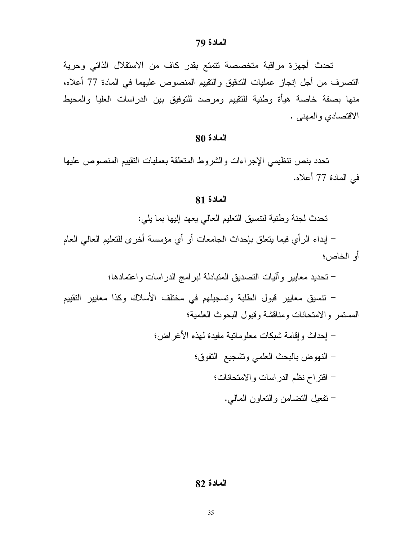تحدث أجهزة مراقبة متخصصة تتمتع بقدر كاف من الاستقلال الذاتي وحرية التصرف من أجل إنجاز عمليات التدقيق والنقييم المنصوص عليهما في المادة 77 أعلاه، منها بصفة خاصة هيأة وطنية للتقييم ومرصد للنوفيق بين الدراسات العليا والمحيط الاقتصادي والمهنى .

#### المادة 80

تحدد بنص نتظيمي الإجراءات والشروط المتعلقة بعمليات النقييم المنصوص عليها في المادة 77 أعلاه.

## المادة 81

تحدث لجنة وطنية لنتسبق النعليم العالى يعهد إليها بما يلي:

– إبداء الرأي فيما بنعلق بإحداث الجامعات أو أي مؤسسة أخرى للنعليم العالمي العام أو الخاص؛

– تحديد معايير وأليات التصديق المتبادلة لبرامج الدراسات واعتمادها؛

– نتسيق معايير قبول الطلبة وتسجيلهم في مختلف الأسلاك وكذا معايير التقييم المستمر والامتحانات ومناقشة وقبول البحوث العلمية؛

#### المادة 82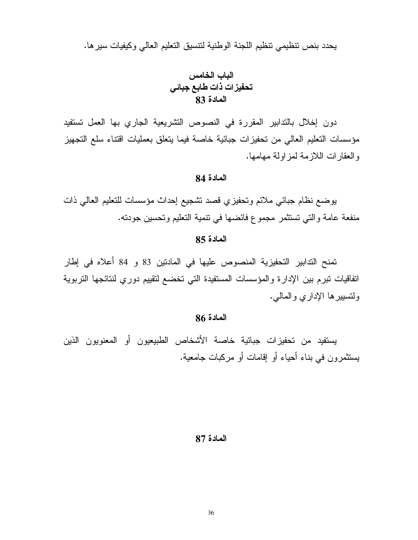يحدد بنص نتظيمي نتظيم اللجنة الوطنية لنتسيق التعليم العالى وكيفيات سيرها.

دون إخلال بالتدابير المقررة في النصوص النشريعية الجاري بها العمل تستفيد مؤسسات التعليم العالي من تحفيزات جبائية خاصة فيما يتعلق بعمليات اقتناء سلع التجهيز والعقارات اللازمة لمزاولة مهامها.

## المادة 84

يوضع نظام جبائي ملائم وتحفيزي قصد نشجيع إحداث مؤسسات للتعليم العالى ذات منفعة عامة والتي تستثمر مجموع فائضها في نتمية التعليم وتحسين جودته.

## المادة 85

تمنح التدابير التحفيزية المنصوص عليها في المادنين 33 و 84 أعلاه في إطار اتفاقيات نبرم بين الإدارة والمؤسسات المستفيدة التي تخضع لنقييم دوري لنتائجها التربوية ولتسيير ها الإداري والمالبي.

## المادة 86

يستفيد من تحفيزات جبائية خاصة الأشخاص الطبيعيون أو المعنويون الذين يستثمرون في بناء أحياء أو إقامات أو مركبات جامعية.

#### المادة 87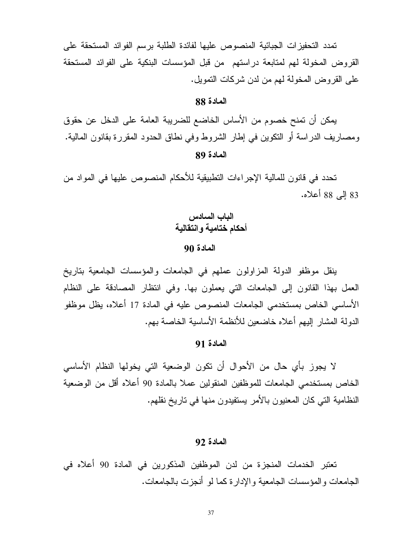تمدد التحفيزات الجبائية المنصوص عليها لفائدة الطلبة برسم الفوائد المستحقة على القروض المخولة لهم لمتابعة دراستهم من قبل المؤسسات البنكية على الفوائد المستحقة على القروض المخولة لهم من لدن شركات النمويل.

## المادة 88

يمكن أن تمنح خصوم من الأساس الخاضع للضريبة العامة على الدخل عن حقوق ومصاريف الدراسة أو النكوين في إطار الشروط وفي نطاق الحدود المقررة بقانون المالية.

## المادة 89

تحدد في قانون للمالية الإجراءات التطبيقية للأحكام المنصوص عليها في المواد من 83 إلى 88 أعلاه.

## الباب السادس أحكام ختامية و انتقالية

## المادة 90

ينقل موظفو الدولة المزاولون عملهم في الجامعات والمؤسسات الجامعية بتاريخ العمل بهذا القانون إلى الجامعات التي يعملون بها. وفي انتظار المصادقة على النظام الأساسي الخاص بمستخدمي الجامعات المنصوص عليه في المادة 17 أعلاه، يظل موظفو الدولة المشار إليهم أعلاه خاضعين للأنظمة الأساسية الخاصة بهم.

## المادة 91

لا يجوز بأي حال من الأحوال أن نكون الوضعية التي يخولها النظام الأساسي الخاص بمستخدمي الجامعات للموظفين المنقولين عملا بالمادة 90 أعلاه أقل من الوضعية النظامية التي كان المعنيون بالأمر يستفيدون منها في تاريخ نقلهم.

#### المادة 92

تعتبر الخدمات المنجزة من لدن الموظفين المذكورين في المادة 90 أعلاه في الجامعات و المؤسسات الجامعية و الإدار ة كما لو أنجزت بالجامعات.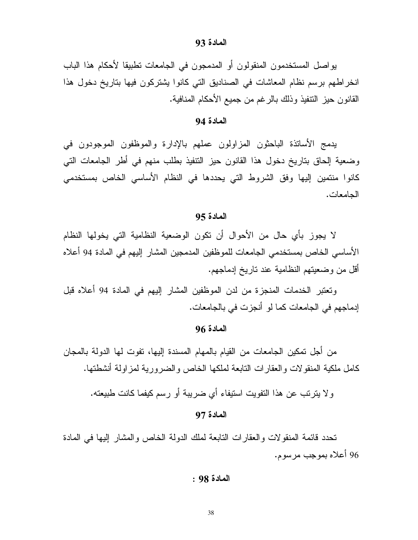#### المادة 93

يواصل المستخدمون المنقولون أو المدمجون في الجامعات نطبيقا لأحكام هذا الباب انخر اطهم برسم نظام المعاشات في الصناديق التي كانوا يشتركون فيها بتاريخ دخول هذا القانون حيز النتفيذ وذلك بالرغم من جميع الأحكام المنافية.

### المادة 94

يدمج الأساتذة الباحثون المزاولون عملهم بالإدارة والموظفون الموجودون في وضعية إلحاق بتاريخ دخول هذا القانون حيز التتفيذ بطلب منهم في أطر الجامعات التي كانوا منتمين إليها وفق الشروط التي يحددها في النظام الأساسي الخاص بمستخدمي الحامعات.

## المادة 95

لا يجوز بأى حال من الأحوال أن تكون الوضعية النظامية التي يخولها النظام الأساسي الخاص بمستخدمي الجامعات للموظفين المدمجين المشار إليهم في المادة 94 أعلاه أقل من وضعيتهم النظامية عند ناريخ إدماجهم.

وتعتبر الخدمات المنجزة من لدن الموظفين المشار إليهم في المادة 94 أعلاه قبل إدماجهم في الجامعات كما لو أنجزت في بالجامعات.

## المادة 96

من أجل تمكين الجامعات من القيام بالمهام المسندة إليها، تفوت لها الدولة بالمجان كامل ملكية المنقولات والعقارات النابعة لملكها الخاص والضرورية لمزاولة أنشطتها.

ولا يترتب عن هذا التفويت استيفاء أي ضريبة أو رسم كيفما كانت طبيعته.

#### المادة 97

تحدد قائمة المنقولات والعقارات النابعة لملك الدولة الخاص والمشار إليها في المادة 96 أعلاه بموجب مرسوم.

#### المادة 98 :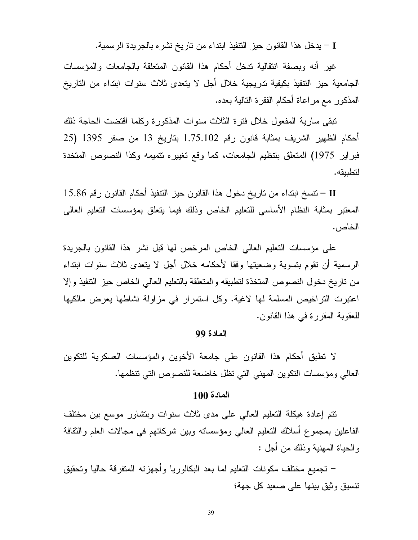I – يدخل هذا القانون حيز التنفيذ ابتداء من تاريخ نشر ه بالجريدة الرسمية.

غير أنه وبصفة انتقالية تدخل أحكام هذا القانون المتعلقة بالجامعات والمؤسسات الجامعية حيز التنفيذ بكيفية تدريجية خلال أجل لا يتعدى ثلاث سنوات ابتداء من التاريخ المذكور مع مراعاة أحكام الفقرة النالية بعده.

تبقى سارية المفعول خلال فترة الثلاث سنوات المذكورة وكلما اقتضت الحاجة ذلك أحكام الظهير الشريف بمثابة قانون رقم 1.75.102 بتاريخ 13 من صفر 1395 (25 فبراير 1975) المنعلق بتنظيم الجامعات، كما وقع نغييره نتميمه وكذا النصوص المنخدة لتطبيقه.

II – نتسخ ابتداء من تاريخ دخول هذا القانون حيز النتفيذ أحكام القانون رقم 15.86 I المعتبر بمثابة النظام الأساسي للتعليم الخاص وذلك فيما يتعلق بمؤسسات التعليم العالبي الخاص .

على مؤسسات التعليم العالي الخاص المرخص لها قبل نشر هذا القانون بالجريدة الرسمية أن نقوم بتسوية وضعيتها وفقا لأحكامه خلال أجل لا يتعدى ثلاث سنوات ابتداء من ناريخ دخول النصوص المتخذة لتطبيقه والمتعلقة بالنعليم العالي الخاص حيز النتفيذ وإلا اعتبرت التراخيص المسلمة لها لاغية. وكل استمرار في مزاولة نشاطها يعرض مالكيها للعقوبة المقررة في هذا القانون.

#### المادة 99

لا نطبق أحكام هذا القانون على جامعة الأخوين والمؤسسات العسكرية للنكوين العالي ومؤسسات النكوين المهنى التي تظل خاضعة للنصوص التي تتظمها.

#### المادة 100

نتم إعادة هيكلة النعليم العالمي على مدى ثلاث سنوات وبتشاور موسع بين مختلف الفاعلين بمجموع أسلاك النعليم العالمي ومؤسسانه وبين شركائهم فبي مجالات العلم والنقافة و الحياة المهنية وذلك من أجل :

– تجميع مختلف مكونات التعليم لما بعد البكالوريا و أجهزته المتفرقة حاليا وتحقيق نتسبق وثبق بينها على صعيد كل جهة؛